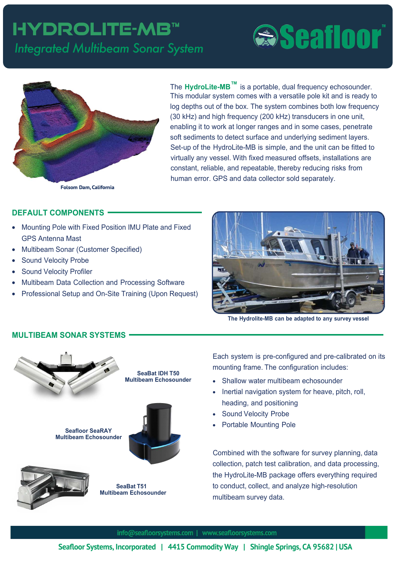## hydrolite-mb™ *Integrated Multibeam Sonar System*

# **Seafloor**



The **HydroLite-MB**<sup>™</sup> is a portable turn ey inte rated multibeam system scalable to meet your performance and bud et re uirements

ith its ran in from entry level to or horse to professional levels **6**eafloor Systems can provide a solution for lo to ultra-hi h resolution data hile maintainin productivity and performand fixed, measured offsets, installations are constant, reliable, and repeatable, thereby reducing risks from human error.

GPS and data collector sold separately.

#### **DEFAULT COMPONENTS**

- Mounting Pole with Fixed Position IMU Plate and Fixed GPS Antenna Mast
- Multibeam Sonar (Customer Specified)
- Sound Velocity Probe
- **Sound Velocity Profiler**
- Multibeam Data Collection and Processing Software
- Professional Setup and On-Site Training (Upon Request)



**The Hydrolite-MB can be adapted to any survey vessel** 

### **MULTIBEAM SONAR SYSTEMS**



**Sea%at IDH 750 Multibeam Echosounder** 

**Seafloor SeaRAY Multibeam Echosounder**







Each system is pre-configured and pre-calibrated on its mounting frame. The configuration includes:

- Shallow water multibeam echosounder
- Inertial navigation system for heave, pitch, roll, heading, and positioning
- Sound Velocity Probe
- Portable Mounting Pole

Combined with the software for survey planning, data collection, patch test calibration, and data processing, the HydroLite-MB package offers everything required to conduct, collect, and analyze high-resolution multibeam survey data.